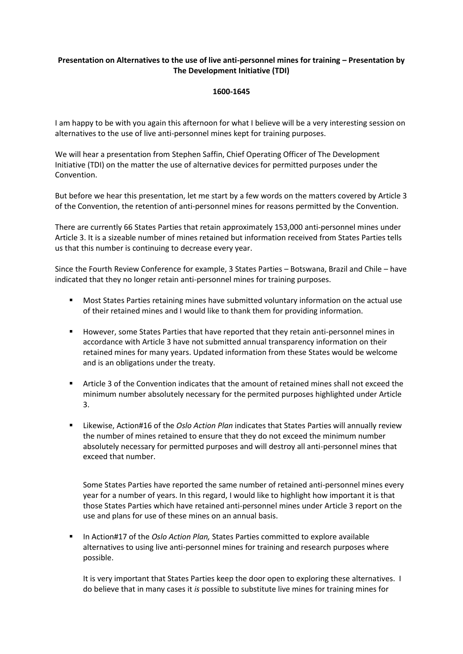## **Presentation on Alternatives to the use of live anti-personnel mines for training – Presentation by The Development Initiative (TDI)**

## **1600-1645**

I am happy to be with you again this afternoon for what I believe will be a very interesting session on alternatives to the use of live anti-personnel mines kept for training purposes.

We will hear a presentation from Stephen Saffin, Chief Operating Officer of The Development Initiative (TDI) on the matter the use of alternative devices for permitted purposes under the Convention.

But before we hear this presentation, let me start by a few words on the matters covered by Article 3 of the Convention, the retention of anti-personnel mines for reasons permitted by the Convention.

There are currently 66 States Parties that retain approximately 153,000 anti-personnel mines under Article 3. It is a sizeable number of mines retained but information received from States Parties tells us that this number is continuing to decrease every year.

Since the Fourth Review Conference for example, 3 States Parties – Botswana, Brazil and Chile – have indicated that they no longer retain anti-personnel mines for training purposes.

- Most States Parties retaining mines have submitted voluntary information on the actual use of their retained mines and I would like to thank them for providing information.
- However, some States Parties that have reported that they retain anti-personnel mines in accordance with Article 3 have not submitted annual transparency information on their retained mines for many years. Updated information from these States would be welcome and is an obligations under the treaty.
- Article 3 of the Convention indicates that the amount of retained mines shall not exceed the minimum number absolutely necessary for the permited purposes highlighted under Article 3.
- Likewise, Action#16 of the *Oslo Action Plan* indicates that States Parties will annually review the number of mines retained to ensure that they do not exceed the minimum number absolutely necessary for permitted purposes and will destroy all anti-personnel mines that exceed that number.

Some States Parties have reported the same number of retained anti-personnel mines every year for a number of years. In this regard, I would like to highlight how important it is that those States Parties which have retained anti-personnel mines under Article 3 report on the use and plans for use of these mines on an annual basis.

**■** In Action#17 of the *Oslo Action Plan,* States Parties committed to explore available alternatives to using live anti-personnel mines for training and research purposes where possible.

It is very important that States Parties keep the door open to exploring these alternatives. I do believe that in many cases it *is* possible to substitute live mines for training mines for